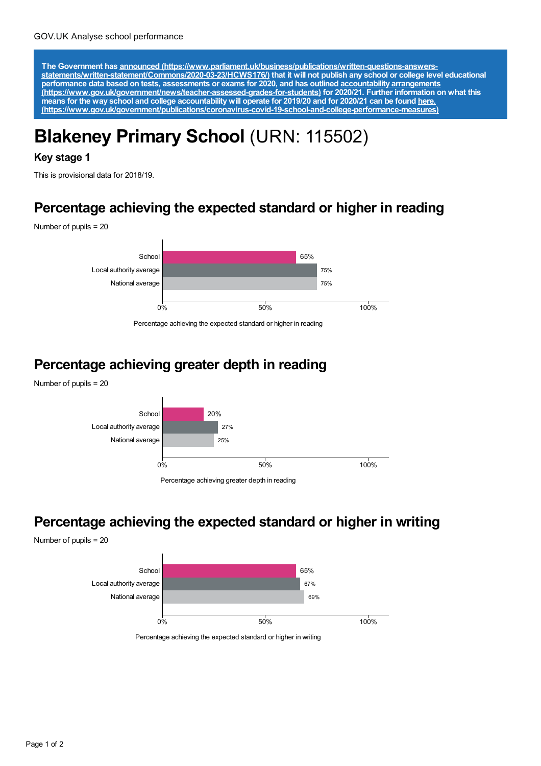The Government has announced [\(https://www.parliament.uk/business/publications/written-questions-answers-](https://www.parliament.uk/business/publications/written-questions-answers-statements/written-statement/Commons/2020-03-23/HCWS176/)<br>statements/written-statement/Commons/2020-03-23/HCWS176/) that it will not publish any school or college level educat **performance data based on tests, assessments or exams for 2020, and has outlined accountability arrangements [\(https://www.gov.uk/government/news/teacher-assessed-grades-for-students\)](https://www.gov.uk/government/news/teacher-assessed-grades-for-students) for 2020/21. Further information on what this** means for the way school and college accountability will operate for 2019/20 and for 2020/21 can be found <u>here.</u> **[\(https://www.gov.uk/government/publications/coronavirus-covid-19-school-and-college-performance-measures\)](https://www.gov.uk/government/publications/coronavirus-covid-19-school-and-college-performance-measures)**

# **Blakeney Primary School** (URN: 115502)

#### **Key stage 1**

This is provisional data for 2018/19.

#### **Percentage achieving the expected standard or higher in reading**

Number of pupils = 20



Percentage achieving the expected standard or higher in reading

# **Percentage achieving greater depth in reading**





**Percentage achieving the expected standard or higher in writing**

Number of pupils = 20



Percentage achieving the expected standard or higher in writing